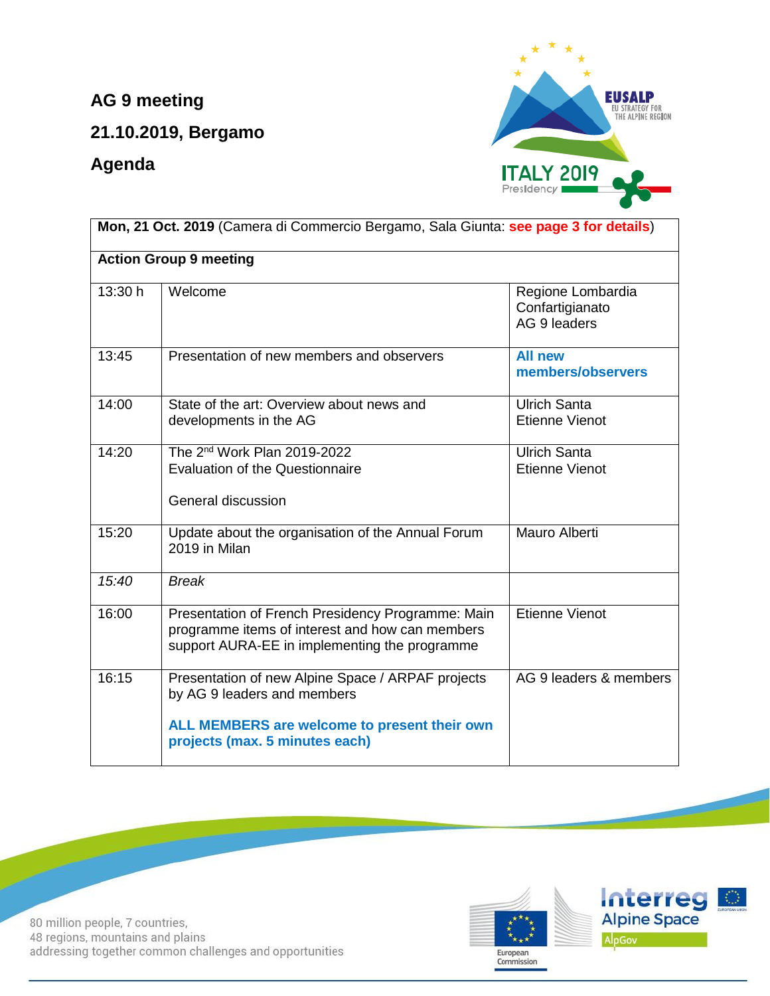**AG 9 meeting** 

**21.10.2019, Bergamo**

**Agenda**



| Mon, 21 Oct. 2019 (Camera di Commercio Bergamo, Sala Giunta: see page 3 for details)                                                                               |                                                      |  |  |
|--------------------------------------------------------------------------------------------------------------------------------------------------------------------|------------------------------------------------------|--|--|
| <b>Action Group 9 meeting</b>                                                                                                                                      |                                                      |  |  |
| Welcome                                                                                                                                                            | Regione Lombardia<br>Confartigianato<br>AG 9 leaders |  |  |
| Presentation of new members and observers                                                                                                                          | <b>All new</b><br>members/observers                  |  |  |
| State of the art: Overview about news and<br>developments in the AG                                                                                                | <b>Ulrich Santa</b><br><b>Etienne Vienot</b>         |  |  |
| The 2 <sup>nd</sup> Work Plan 2019-2022<br><b>Evaluation of the Questionnaire</b><br>General discussion                                                            | <b>Ulrich Santa</b><br><b>Etienne Vienot</b>         |  |  |
| Update about the organisation of the Annual Forum<br>2019 in Milan                                                                                                 | Mauro Alberti                                        |  |  |
| <b>Break</b>                                                                                                                                                       |                                                      |  |  |
| Presentation of French Presidency Programme: Main<br>programme items of interest and how can members<br>support AURA-EE in implementing the programme              | <b>Etienne Vienot</b>                                |  |  |
| Presentation of new Alpine Space / ARPAF projects<br>by AG 9 leaders and members<br>ALL MEMBERS are welcome to present their own<br>projects (max. 5 minutes each) | AG 9 leaders & members                               |  |  |
|                                                                                                                                                                    |                                                      |  |  |

80 million people, 7 countries, 48 regions, mountains and plains addressing together common challenges and opportunities

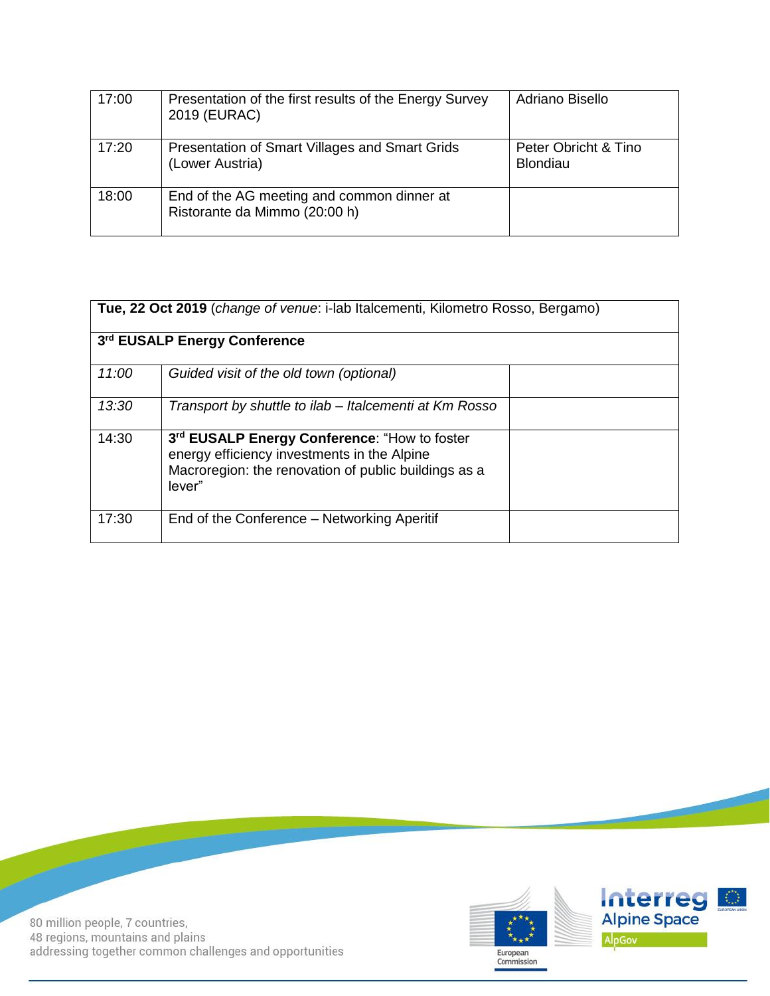| 17:00 | Presentation of the first results of the Energy Survey<br>2019 (EURAC)      | Adriano Bisello                         |
|-------|-----------------------------------------------------------------------------|-----------------------------------------|
| 17:20 | Presentation of Smart Villages and Smart Grids<br>(Lower Austria)           | Peter Obricht & Tino<br><b>Blondiau</b> |
| 18:00 | End of the AG meeting and common dinner at<br>Ristorante da Mimmo (20:00 h) |                                         |

| Tue, 22 Oct 2019 (change of venue: i-lab Italcementi, Kilometro Rosso, Bergamo) |                                                                                                                                                               |  |  |  |
|---------------------------------------------------------------------------------|---------------------------------------------------------------------------------------------------------------------------------------------------------------|--|--|--|
| 3rd EUSALP Energy Conference                                                    |                                                                                                                                                               |  |  |  |
| 11:00                                                                           | Guided visit of the old town (optional)                                                                                                                       |  |  |  |
| 13:30                                                                           | Transport by shuttle to ilab – Italcementi at Km Rosso                                                                                                        |  |  |  |
| 14:30                                                                           | 3rd EUSALP Energy Conference: "How to foster<br>energy efficiency investments in the Alpine<br>Macroregion: the renovation of public buildings as a<br>lever" |  |  |  |
| 17:30                                                                           | End of the Conference – Networking Aperitif                                                                                                                   |  |  |  |



80 million people, 7 countries,<br>48 regions, mountains and plains addressing together common challenges and opportunities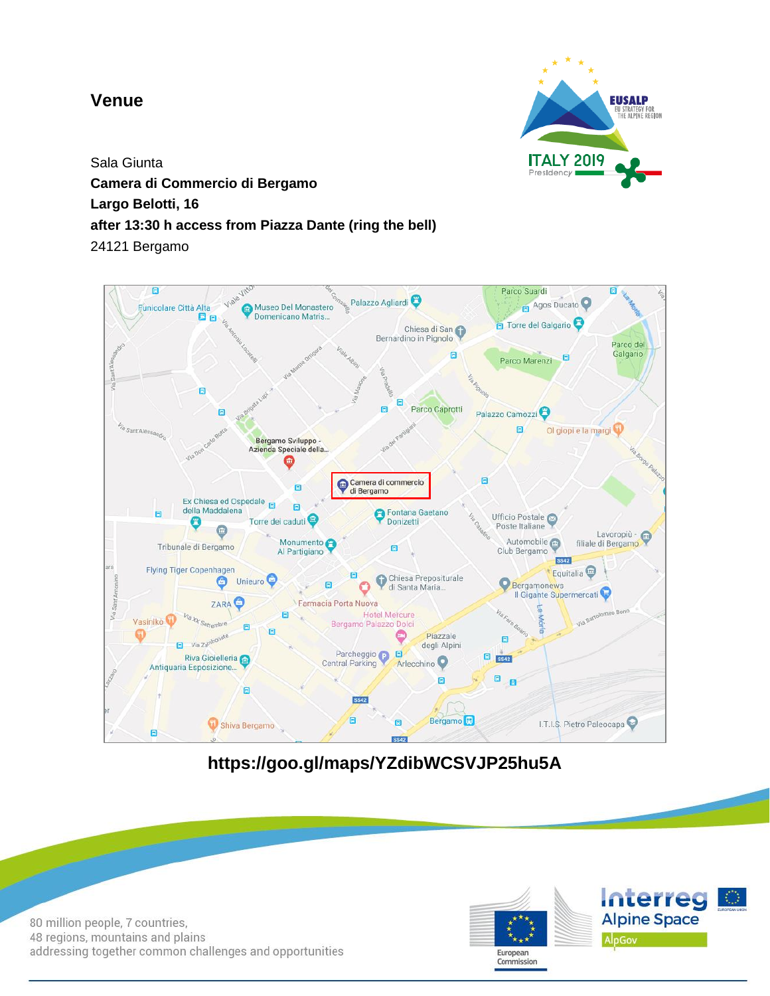## **Venue**



Sala Giunta **Camera di Commercio di Bergamo Largo Belotti, 16 after 13:30 h access from Piazza Dante (ring the bell)** 24121 Bergamo



**https://goo.gl/maps/YZdibWCSVJP25hu5A**